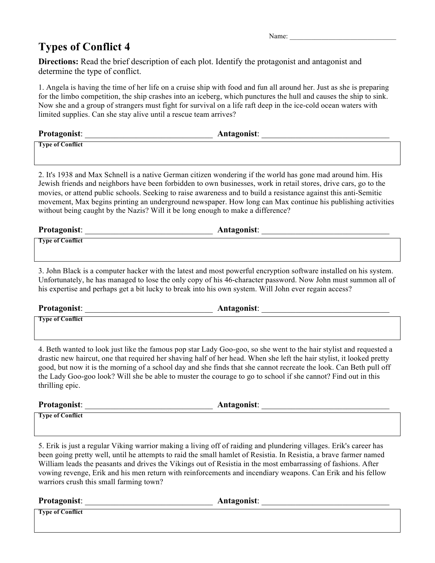## **Types of Conflict 4**

**Directions:** Read the brief description of each plot. Identify the protagonist and antagonist and determine the type of conflict.

1. Angela is having the time of her life on a cruise ship with food and fun all around her. Just as she is preparing for the limbo competition, the ship crashes into an iceberg, which punctures the hull and causes the ship to sink. Now she and a group of strangers must fight for survival on a life raft deep in the ice-cold ocean waters with limited supplies. Can she stay alive until a rescue team arrives?

| Protagonist:            | Antagonist: |
|-------------------------|-------------|
| <b>Type of Conflict</b> |             |

2. It's 1938 and Max Schnell is a native German citizen wondering if the world has gone mad around him. His Jewish friends and neighbors have been forbidden to own businesses, work in retail stores, drive cars, go to the movies, or attend public schools. Seeking to raise awareness and to build a resistance against this anti-Semitic movement, Max begins printing an underground newspaper. How long can Max continue his publishing activities without being caught by the Nazis? Will it be long enough to make a difference?

| Protagonist:            | Antagonist: |
|-------------------------|-------------|
| <b>Type of Conflict</b> |             |

3. John Black is a computer hacker with the latest and most powerful encryption software installed on his system. Unfortunately, he has managed to lose the only copy of his 46-character password. Now John must summon all of his expertise and perhaps get a bit lucky to break into his own system. Will John ever regain access?

Protagonist: **Antagonist**: **Antagonist**:

**Type of Conflict**

4. Beth wanted to look just like the famous pop star Lady Goo-goo, so she went to the hair stylist and requested a drastic new haircut, one that required her shaving half of her head. When she left the hair stylist, it looked pretty good, but now it is the morning of a school day and she finds that she cannot recreate the look. Can Beth pull off the Lady Goo-goo look? Will she be able to muster the courage to go to school if she cannot? Find out in this thrilling epic.

**Protagonist**: \_\_\_\_\_\_\_\_\_\_\_\_\_\_\_\_\_\_\_\_\_\_\_\_\_\_\_\_\_\_ **Antagonist**: \_\_\_\_\_\_\_\_\_\_\_\_\_\_\_\_\_\_\_\_\_\_\_\_\_\_\_\_\_\_

**Type of Conflict**

5. Erik is just a regular Viking warrior making a living off of raiding and plundering villages. Erik's career has been going pretty well, until he attempts to raid the small hamlet of Resistia. In Resistia, a brave farmer named William leads the peasants and drives the Vikings out of Resistia in the most embarrassing of fashions. After vowing revenge, Erik and his men return with reinforcements and incendiary weapons. Can Erik and his fellow warriors crush this small farming town?

| Protagonist:            | Antagonist: |
|-------------------------|-------------|
| <b>Type of Conflict</b> |             |

Name<sup>.</sup>